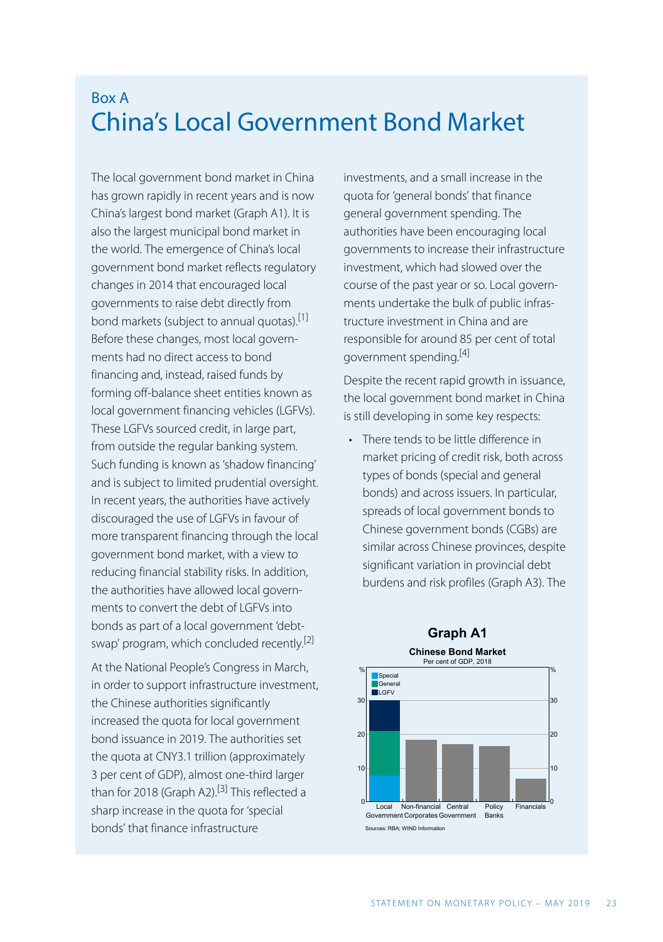## Box A China's Local Government Bond Market

The local government bond market in China has grown rapidly in recent years and is now China's largest bond market (Graph A1). It is also the largest municipal bond market in the world. The emergence of China's local government bond market reflects regulatory changes in 2014 that encouraged local governments to raise debt directly from bond markets (subject to annual quotas).[1] Before these changes, most local governments had no direct access to bond financing and, instead, raised funds by forming off-balance sheet entities known as local government financing vehicles (LGFVs). These LGFVs sourced credit, in large part, from outside the regular banking system. Such funding is known as 'shadow financing' and is subject to limited prudential oversight. In recent years, the authorities have actively discouraged the use of LGFVs in favour of more transparent financing through the local government bond market, with a view to reducing financial stability risks. In addition, the authorities have allowed local governments to convert the debt of LGFVs into bonds as part of a local government 'debtswap' program, which concluded recently.<sup>[2]</sup>

At the National People's Congress in March, in order to support infrastructure investment, the Chinese authorities significantly increased the quota for local government bond issuance in 2019. The authorities set the quota at CNY3.1 trillion (approximately 3 per cent of GDP), almost one-third larger than for 2018 (Graph A2).<sup>[3]</sup> This reflected a sharp increase in the quota for 'special bonds' that finance infrastructure

investments, and a small increase in the quota for 'general bonds' that finance general government spending. The authorities have been encouraging local governments to increase their infrastructure investment, which had slowed over the course of the past year or so. Local governments undertake the bulk of public infrastructure investment in China and are responsible for around 85 per cent of total government spending.<sup>[4]</sup>

Despite the recent rapid growth in issuance, the local government bond market in China is still developing in some key respects:

• There tends to be little difference in market pricing of credit risk, both across types of bonds (special and general bonds) and across issuers. In particular, spreads of local government bonds to Chinese government bonds (CGBs) are similar across Chinese provinces, despite significant variation in provincial debt burdens and risk profiles (Graph A3). The

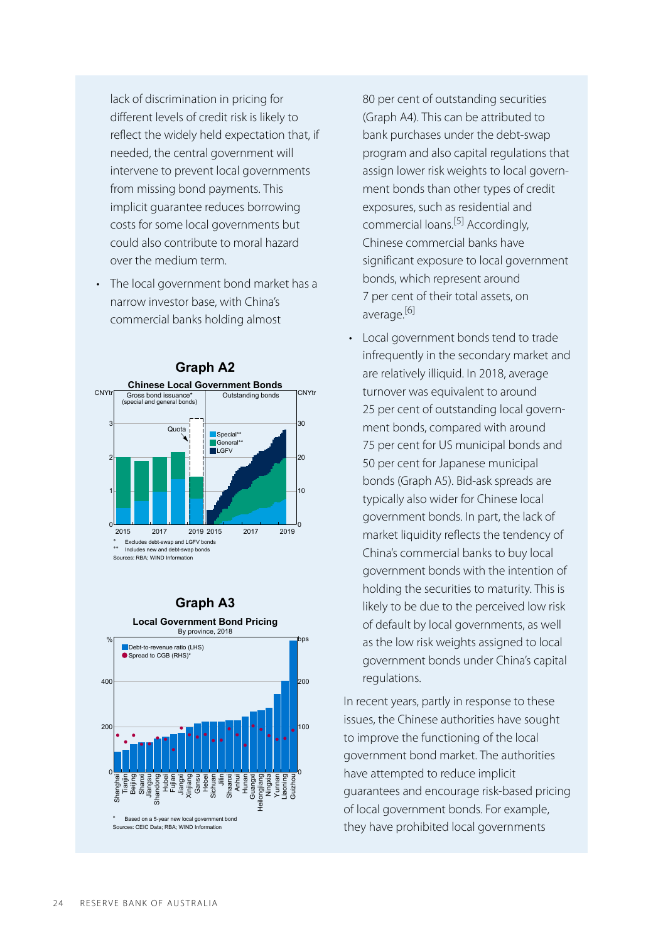lack of discrimination in pricing for different levels of credit risk is likely to reflect the widely held expectation that, if needed, the central government will intervene to prevent local governments from missing bond payments. This implicit guarantee reduces borrowing costs for some local governments but could also contribute to moral hazard over the medium term.

• The local government bond market has a narrow investor base, with China's commercial banks holding almost



## **Graph A3**



80 per cent of outstanding securities (Graph A4). This can be attributed to bank purchases under the debt-swap program and also capital regulations that assign lower risk weights to local government bonds than other types of credit exposures, such as residential and commercial loans.<sup>[5]</sup> Accordingly, Chinese commercial banks have significant exposure to local government bonds, which represent around 7 per cent of their total assets, on average.<sup>[6]</sup>

• Local government bonds tend to trade infrequently in the secondary market and are relatively illiquid. In 2018, average turnover was equivalent to around 25 per cent of outstanding local government bonds, compared with around 75 per cent for US municipal bonds and 50 per cent for Japanese municipal bonds (Graph A5). Bid-ask spreads are typically also wider for Chinese local government bonds. In part, the lack of market liquidity reflects the tendency of China's commercial banks to buy local government bonds with the intention of holding the securities to maturity. This is likely to be due to the perceived low risk of default by local governments, as well as the low risk weights assigned to local government bonds under China's capital regulations.

In recent years, partly in response to these issues, the Chinese authorities have sought to improve the functioning of the local government bond market. The authorities have attempted to reduce implicit guarantees and encourage risk-based pricing of local government bonds. For example, they have prohibited local governments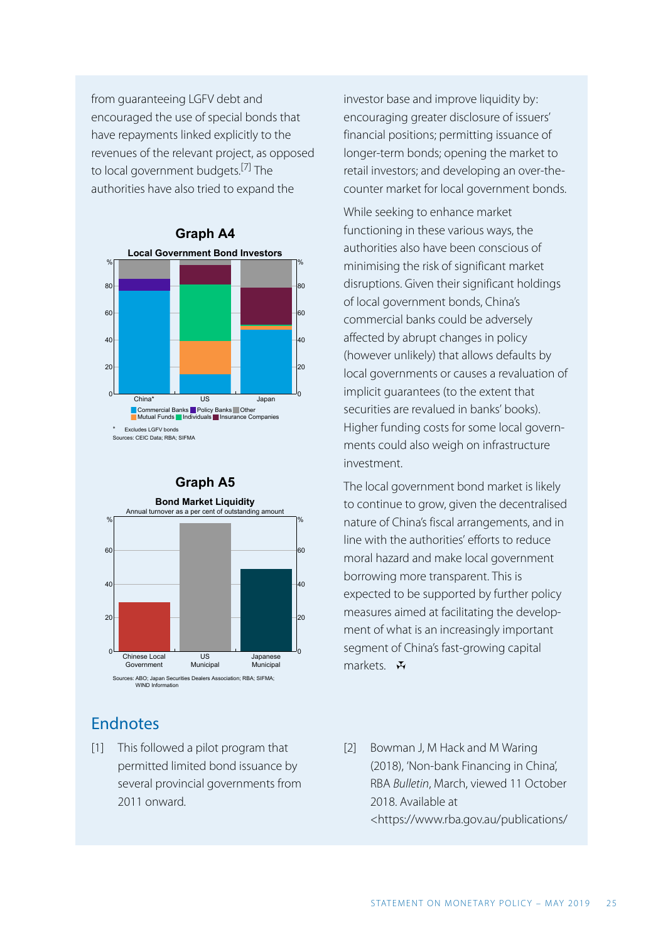from guaranteeing LGFV debt and encouraged the use of special bonds that have repayments linked explicitly to the revenues of the relevant project, as opposed to local government budgets. [7] The authorities have also tried to expand the





## Endnotes

This followed a pilot program that [1] Bowman J, M Hack and M Waring permitted limited bond issuance by several provincial governments from 2011 onward.

investor base and improve liquidity by: encouraging greater disclosure of issuers' financial positions; permitting issuance of longer-term bonds; opening the market to retail investors; and developing an over-thecounter market for local government bonds.

While seeking to enhance market functioning in these various ways, the authorities also have been conscious of minimising the risk of significant market disruptions. Given their significant holdings of local government bonds, China's commercial banks could be adversely affected by abrupt changes in policy (however unlikely) that allows defaults by local governments or causes a revaluation of implicit guarantees (to the extent that securities are revalued in banks' books). Higher funding costs for some local governments could also weigh on infrastructure investment.

The local government bond market is likely to continue to grow, given the decentralised nature of China's fiscal arrangements, and in line with the authorities' efforts to reduce moral hazard and make local government borrowing more transparent. This is expected to be supported by further policy measures aimed at facilitating the development of what is an increasingly important segment of China's fast-growing capital markets.  $\mathbf{\ddot{v}}$ 

(2018), 'Non-bank Financing in China', RBA *Bulletin*, March, viewed 11 October 2018. Available at [<https://www.rba.gov.au/publications/](https://www.rba.gov.au/publications/bulletin/2018/mar/non-bank-financing-in-china.html) [2] Bowman J, M Hack and M Waring